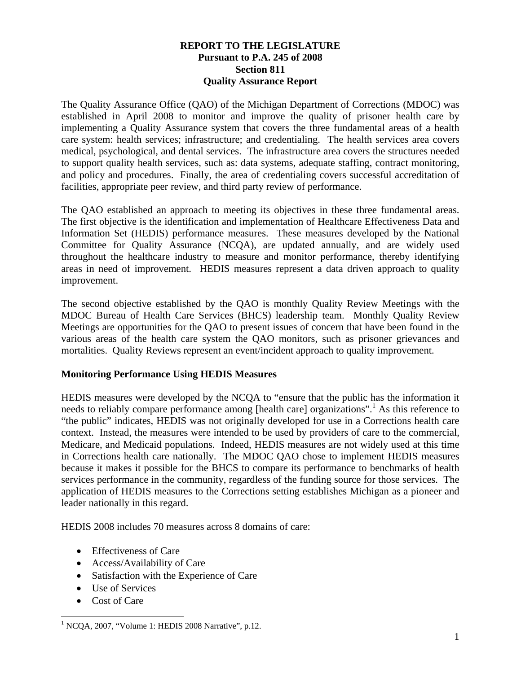## **REPORT TO THE LEGISLATURE Pursuant to P.A. 245 of 2008 Section 811 Quality Assurance Report**

The Quality Assurance Office (QAO) of the Michigan Department of Corrections (MDOC) was established in April 2008 to monitor and improve the quality of prisoner health care by implementing a Quality Assurance system that covers the three fundamental areas of a health care system: health services; infrastructure; and credentialing. The health services area covers medical, psychological, and dental services. The infrastructure area covers the structures needed to support quality health services, such as: data systems, adequate staffing, contract monitoring, and policy and procedures. Finally, the area of credentialing covers successful accreditation of facilities, appropriate peer review, and third party review of performance.

The QAO established an approach to meeting its objectives in these three fundamental areas. The first objective is the identification and implementation of Healthcare Effectiveness Data and Information Set (HEDIS) performance measures. These measures developed by the National Committee for Quality Assurance (NCQA), are updated annually, and are widely used throughout the healthcare industry to measure and monitor performance, thereby identifying areas in need of improvement. HEDIS measures represent a data driven approach to quality improvement.

The second objective established by the QAO is monthly Quality Review Meetings with the MDOC Bureau of Health Care Services (BHCS) leadership team. Monthly Quality Review Meetings are opportunities for the QAO to present issues of concern that have been found in the various areas of the health care system the QAO monitors, such as prisoner grievances and mortalities. Quality Reviews represent an event/incident approach to quality improvement.

## **Monitoring Performance Using HEDIS Measures**

HEDIS measures were developed by the NCQA to "ensure that the public has the information it needs to reliably compare performance among [health care] organizations".<sup>1</sup> As this reference to "the public" indicates, HEDIS was not originally developed for use in a Corrections health care context. Instead, the measures were intended to be used by providers of care to the commercial, Medicare, and Medicaid populations. Indeed, HEDIS measures are not widely used at this time in Corrections health care nationally. The MDOC QAO chose to implement HEDIS measures because it makes it possible for the BHCS to compare its performance to benchmarks of health services performance in the community, regardless of the funding source for those services. The application of HEDIS measures to the Corrections setting establishes Michigan as a pioneer and leader nationally in this regard.

HEDIS 2008 includes 70 measures across 8 domains of care:

- Effectiveness of Care
- Access/Availability of Care
- Satisfaction with the Experience of Care
- Use of Services
- Cost of Care

 $\overline{a}$ <sup>1</sup> NCQA, 2007, "Volume 1: HEDIS 2008 Narrative", p.12.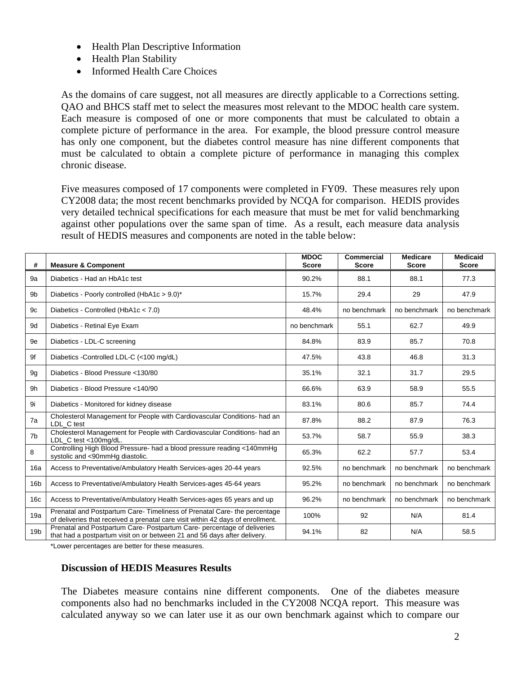- Health Plan Descriptive Information
- Health Plan Stability
- Informed Health Care Choices

As the domains of care suggest, not all measures are directly applicable to a Corrections setting. QAO and BHCS staff met to select the measures most relevant to the MDOC health care system. Each measure is composed of one or more components that must be calculated to obtain a complete picture of performance in the area. For example, the blood pressure control measure has only one component, but the diabetes control measure has nine different components that must be calculated to obtain a complete picture of performance in managing this complex chronic disease.

Five measures composed of 17 components were completed in FY09. These measures rely upon CY2008 data; the most recent benchmarks provided by NCQA for comparison. HEDIS provides very detailed technical specifications for each measure that must be met for valid benchmarking against other populations over the same span of time. As a result, each measure data analysis result of HEDIS measures and components are noted in the table below:

| #               | <b>Measure &amp; Component</b>                                                                                                                             | <b>MDOC</b><br><b>Score</b> | Commercial<br><b>Score</b> | <b>Medicare</b><br><b>Score</b> | <b>Medicaid</b><br><b>Score</b> |
|-----------------|------------------------------------------------------------------------------------------------------------------------------------------------------------|-----------------------------|----------------------------|---------------------------------|---------------------------------|
| 9a              | Diabetics - Had an HbA1c test                                                                                                                              | 90.2%                       | 88.1                       | 88.1                            | 77.3                            |
| 9 <sub>b</sub>  | Diabetics - Poorly controlled (HbA1c > 9.0)*                                                                                                               | 15.7%                       | 29.4                       | 29                              | 47.9                            |
| 9c              | Diabetics - Controlled (HbA1 $c < 7.0$ )                                                                                                                   | 48.4%                       | no benchmark               | no benchmark                    | no benchmark                    |
| 9d              | Diabetics - Retinal Eye Exam                                                                                                                               | no benchmark                | 55.1                       | 62.7                            | 49.9                            |
| 9e              | Diabetics - LDL-C screening                                                                                                                                | 84.8%                       | 83.9                       | 85.7                            | 70.8                            |
| 9f              | Diabetics - Controlled LDL-C (<100 mg/dL)                                                                                                                  | 47.5%                       | 43.8                       | 46.8                            | 31.3                            |
| 9 <sub>q</sub>  | Diabetics - Blood Pressure <130/80                                                                                                                         | 35.1%                       | 32.1                       | 31.7                            | 29.5                            |
| 9h              | Diabetics - Blood Pressure <140/90                                                                                                                         | 66.6%                       | 63.9                       | 58.9                            | 55.5                            |
| 9i              | Diabetics - Monitored for kidney disease                                                                                                                   | 83.1%                       | 80.6                       | 85.7                            | 74.4                            |
| 7a              | Cholesterol Management for People with Cardiovascular Conditions- had an<br>LDL C test                                                                     | 87.8%                       | 88.2                       | 87.9                            | 76.3                            |
| 7 <sub>b</sub>  | Cholesterol Management for People with Cardiovascular Conditions- had an<br>LDL C test <100mg/dL.                                                          | 53.7%                       | 58.7                       | 55.9                            | 38.3                            |
| 8               | Controlling High Blood Pressure- had a blood pressure reading <140mmHg<br>systolic and <90mmHg diastolic.                                                  | 65.3%                       | 62.2                       | 57.7                            | 53.4                            |
| 16a             | Access to Preventative/Ambulatory Health Services-ages 20-44 years                                                                                         | 92.5%                       | no benchmark               | no benchmark                    | no benchmark                    |
| 16 <sub>b</sub> | Access to Preventative/Ambulatory Health Services-ages 45-64 years                                                                                         | 95.2%                       | no benchmark               | no benchmark                    | no benchmark                    |
| 16c             | Access to Preventative/Ambulatory Health Services-ages 65 years and up                                                                                     | 96.2%                       | no benchmark               | no benchmark                    | no benchmark                    |
| 19a             | Prenatal and Postpartum Care-Timeliness of Prenatal Care-the percentage<br>of deliveries that received a prenatal care visit within 42 days of enrollment. | 100%                        | 92                         | N/A                             | 81.4                            |
| 19 <sub>b</sub> | Prenatal and Postpartum Care- Postpartum Care- percentage of deliveries<br>that had a postpartum visit on or between 21 and 56 days after delivery.        | 94.1%                       | 82                         | N/A                             | 58.5                            |

\*Lower percentages are better for these measures.

## **Discussion of HEDIS Measures Results**

The Diabetes measure contains nine different components. One of the diabetes measure components also had no benchmarks included in the CY2008 NCQA report. This measure was calculated anyway so we can later use it as our own benchmark against which to compare our